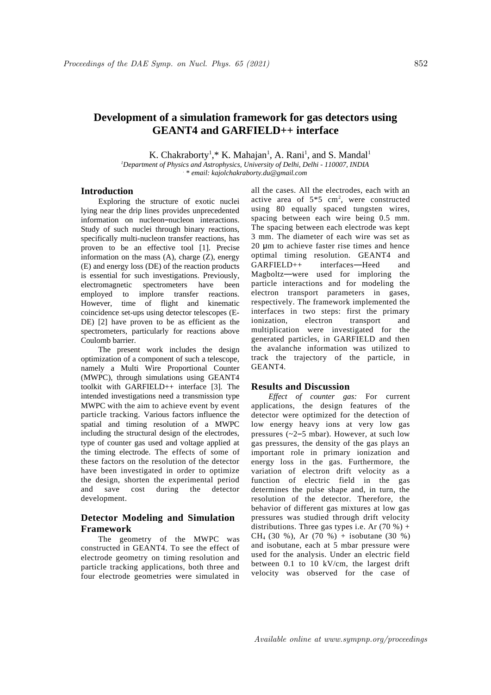## **Development of a simulation framework for gas detectors using GEANT4 and GARFIELD++ interface**

K. Chakraborty<sup>1</sup>,\* K. Mahajan<sup>1</sup>, A. Rani<sup>1</sup>, and S. Mandal<sup>1</sup> *<sup>1</sup>Department of Physics and Astrophysics, University of Delhi, Delhi - 110007, INDIA . \* email: kajolchakraborty.du@gmail.com*

**Introduction**

Exploring the structure of exotic nuclei lying near the drip lines provides unprecedented information on nucleon–nucleon interactions. Study of such nuclei through binary reactions, specifically multi-nucleon transfer reactions, has proven to be an effective tool [1]. Precise information on the mass  $(A)$ , charge  $(Z)$ , energy (E) and energy loss (DE) of the reaction products is essential for such investigations. Previously, electromagnetic spectrometers have been employed to implore transfer reactions. However, time of flight and kinematic coincidence set-ups using detector telescopes (E-DE) [2] have proven to be as efficient as the spectrometers, particularly for reactions above Coulomb barrier.

The present work includes the design optimization of a component of such a telescope, namely a Multi Wire Proportional Counter (MWPC), through simulations using GEANT4 toolkit with GARFIELD++ interface [3]. The intended investigations need a transmission type MWPC with the aim to achieve event by event particle tracking. Various factors influence the spatial and timing resolution of a MWPC including the structural design of the electrodes, type of counter gas used and voltage applied at the timing electrode. The effects of some of these factors on the resolution of the detector have been investigated in order to optimize the design, shorten the experimental period and save cost during the detector development.

## **Detector Modeling and Simulation Framework**

The geometry of the MWPC was constructed in GEANT4. To see the effect of electrode geometry on timing resolution and particle tracking applications, both three and four electrode geometries were simulated in

all the cases. All the electrodes, each with an active area of  $5*5$  cm<sup>2</sup>, were constructed using 80 equally spaced tungsten wires, spacing between each wire being 0.5 mm. The spacing between each electrode was kept 3 mm. The diameter of each wire was set as 20 μm to achieve faster rise times and hence optimal timing resolution. GEANT4 and GARFIELD++ interfaces—Heed and Magboltz—were used for imploring the particle interactions and for modeling the electron transport parameters in gases, respectively. The framework implemented the interfaces in two steps: first the primary ionization, electron transport and multiplication were investigated for the generated particles, in GARFIELD and then the avalanche information was utilized to track the trajectory of the particle, in GEANT4.

## **Results and Discussion**

*Effect of counter gas:* For current applications, the design features of the detector were optimized for the detection of low energy heavy ions at very low gas pressures (~2–5 mbar). However, at such low gas pressures, the density of the gas plays an important role in primary ionization and energy loss in the gas. Furthermore, the variation of electron drift velocity as a function of electric field in the gas determines the pulse shape and, in turn, the resolution of the detector. Therefore, the behavior of different gas mixtures at low gas pressures was studied through drift velocity distributions. Three gas types i.e. Ar  $(70\%)$  + CH4 (30 %), Ar (70 %) + isobutane (30 %) and isobutane, each at 5 mbar pressure were used for the analysis. Under an electric field between 0.1 to 10 kV/cm, the largest drift velocity was observed for the case of